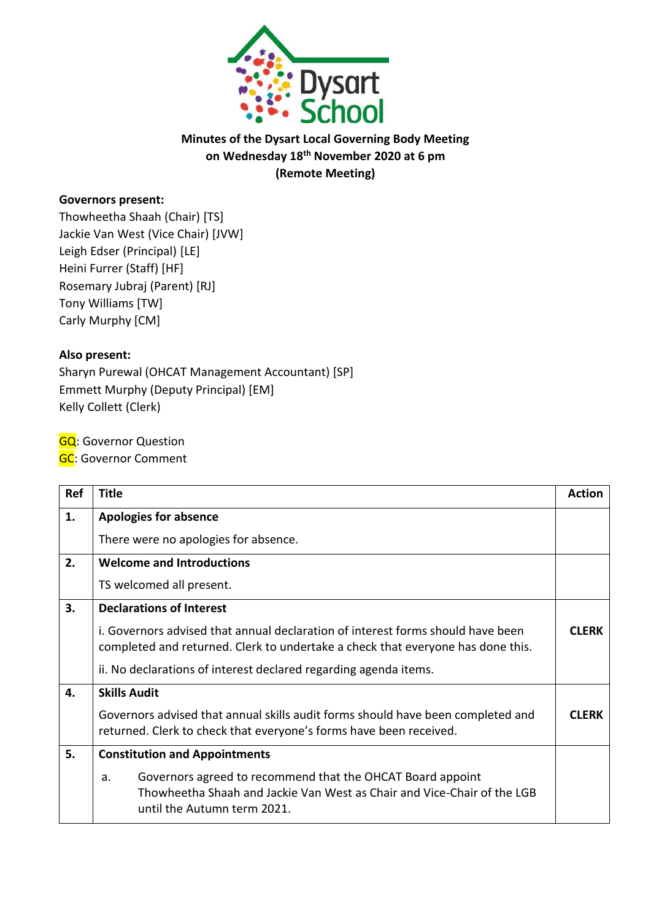

# **Minutes of the Dysart Local Governing Body Meeting on Wednesday 18th November 2020 at 6 pm (Remote Meeting)**

### **Governors present:**

Thowheetha Shaah (Chair) [TS] Jackie Van West (Vice Chair) [JVW] Leigh Edser (Principal) [LE] Heini Furrer (Staff) [HF] Rosemary Jubraj (Parent) [RJ] Tony Williams [TW] Carly Murphy [CM]

#### **Also present:**

Sharyn Purewal (OHCAT Management Accountant) [SP] Emmett Murphy (Deputy Principal) [EM] Kelly Collett (Clerk)

**GQ: Governor Question** 

**GC**: Governor Comment

| Ref | <b>Title</b>                                                                                                                                                               | <b>Action</b> |
|-----|----------------------------------------------------------------------------------------------------------------------------------------------------------------------------|---------------|
| 1.  | <b>Apologies for absence</b>                                                                                                                                               |               |
|     | There were no apologies for absence.                                                                                                                                       |               |
| 2.  | <b>Welcome and Introductions</b>                                                                                                                                           |               |
|     | TS welcomed all present.                                                                                                                                                   |               |
| 3.  | <b>Declarations of Interest</b>                                                                                                                                            |               |
|     | i. Governors advised that annual declaration of interest forms should have been<br>completed and returned. Clerk to undertake a check that everyone has done this.         | <b>CLFRK</b>  |
|     | ii. No declarations of interest declared regarding agenda items.                                                                                                           |               |
| 4.  | <b>Skills Audit</b>                                                                                                                                                        |               |
|     | Governors advised that annual skills audit forms should have been completed and<br>returned. Clerk to check that everyone's forms have been received.                      | <b>CLFRK</b>  |
| 5.  | <b>Constitution and Appointments</b>                                                                                                                                       |               |
|     | Governors agreed to recommend that the OHCAT Board appoint<br>a.<br>Thowheetha Shaah and Jackie Van West as Chair and Vice-Chair of the LGB<br>until the Autumn term 2021. |               |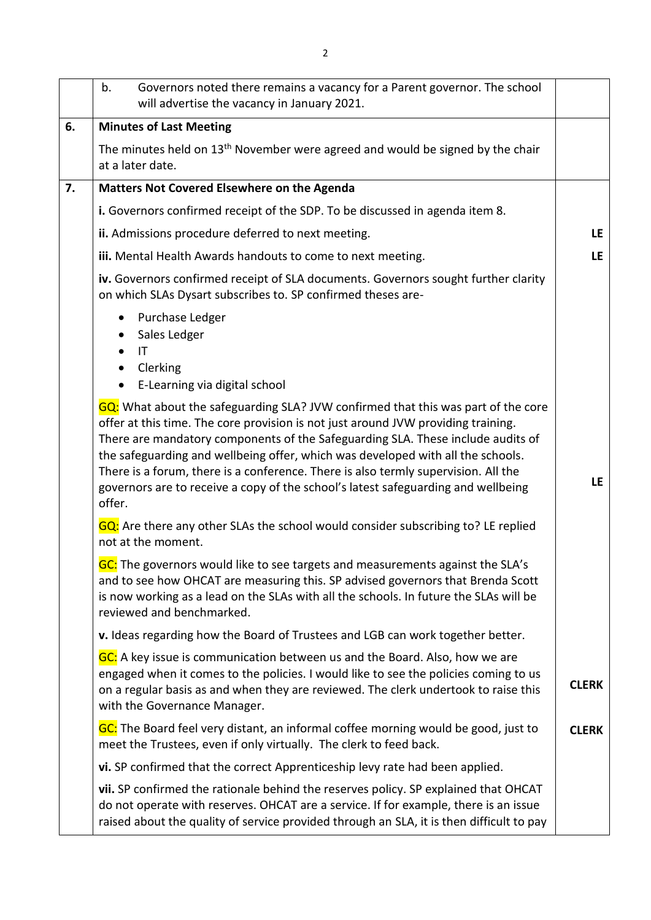|    | Governors noted there remains a vacancy for a Parent governor. The school<br>b.<br>will advertise the vacancy in January 2021.                                                                                                                                                                                                                                                                                                                                                                                                    |              |
|----|-----------------------------------------------------------------------------------------------------------------------------------------------------------------------------------------------------------------------------------------------------------------------------------------------------------------------------------------------------------------------------------------------------------------------------------------------------------------------------------------------------------------------------------|--------------|
| 6. | <b>Minutes of Last Meeting</b>                                                                                                                                                                                                                                                                                                                                                                                                                                                                                                    |              |
|    | The minutes held on 13 <sup>th</sup> November were agreed and would be signed by the chair<br>at a later date.                                                                                                                                                                                                                                                                                                                                                                                                                    |              |
| 7. | Matters Not Covered Elsewhere on the Agenda                                                                                                                                                                                                                                                                                                                                                                                                                                                                                       |              |
|    | i. Governors confirmed receipt of the SDP. To be discussed in agenda item 8.                                                                                                                                                                                                                                                                                                                                                                                                                                                      |              |
|    | ii. Admissions procedure deferred to next meeting.                                                                                                                                                                                                                                                                                                                                                                                                                                                                                | LE.          |
|    | iii. Mental Health Awards handouts to come to next meeting.                                                                                                                                                                                                                                                                                                                                                                                                                                                                       | <b>LE</b>    |
|    | iv. Governors confirmed receipt of SLA documents. Governors sought further clarity<br>on which SLAs Dysart subscribes to. SP confirmed theses are-                                                                                                                                                                                                                                                                                                                                                                                |              |
|    | Purchase Ledger<br>Sales Ledger<br>IT<br>Clerking<br>E-Learning via digital school<br>$\bullet$                                                                                                                                                                                                                                                                                                                                                                                                                                   |              |
|    | GQ: What about the safeguarding SLA? JVW confirmed that this was part of the core<br>offer at this time. The core provision is not just around JVW providing training.<br>There are mandatory components of the Safeguarding SLA. These include audits of<br>the safeguarding and wellbeing offer, which was developed with all the schools.<br>There is a forum, there is a conference. There is also termly supervision. All the<br>governors are to receive a copy of the school's latest safeguarding and wellbeing<br>offer. | <b>LE</b>    |
|    | GQ: Are there any other SLAs the school would consider subscribing to? LE replied<br>not at the moment.                                                                                                                                                                                                                                                                                                                                                                                                                           |              |
|    | GC: The governors would like to see targets and measurements against the SLA's<br>and to see how OHCAT are measuring this. SP advised governors that Brenda Scott<br>is now working as a lead on the SLAs with all the schools. In future the SLAs will be<br>reviewed and benchmarked.                                                                                                                                                                                                                                           |              |
|    | v. Ideas regarding how the Board of Trustees and LGB can work together better.                                                                                                                                                                                                                                                                                                                                                                                                                                                    |              |
|    | GC: A key issue is communication between us and the Board. Also, how we are<br>engaged when it comes to the policies. I would like to see the policies coming to us<br>on a regular basis as and when they are reviewed. The clerk undertook to raise this<br>with the Governance Manager.                                                                                                                                                                                                                                        | <b>CLERK</b> |
|    | GC: The Board feel very distant, an informal coffee morning would be good, just to<br>meet the Trustees, even if only virtually. The clerk to feed back.                                                                                                                                                                                                                                                                                                                                                                          | <b>CLERK</b> |
|    | vi. SP confirmed that the correct Apprenticeship levy rate had been applied.                                                                                                                                                                                                                                                                                                                                                                                                                                                      |              |
|    | vii. SP confirmed the rationale behind the reserves policy. SP explained that OHCAT<br>do not operate with reserves. OHCAT are a service. If for example, there is an issue<br>raised about the quality of service provided through an SLA, it is then difficult to pay                                                                                                                                                                                                                                                           |              |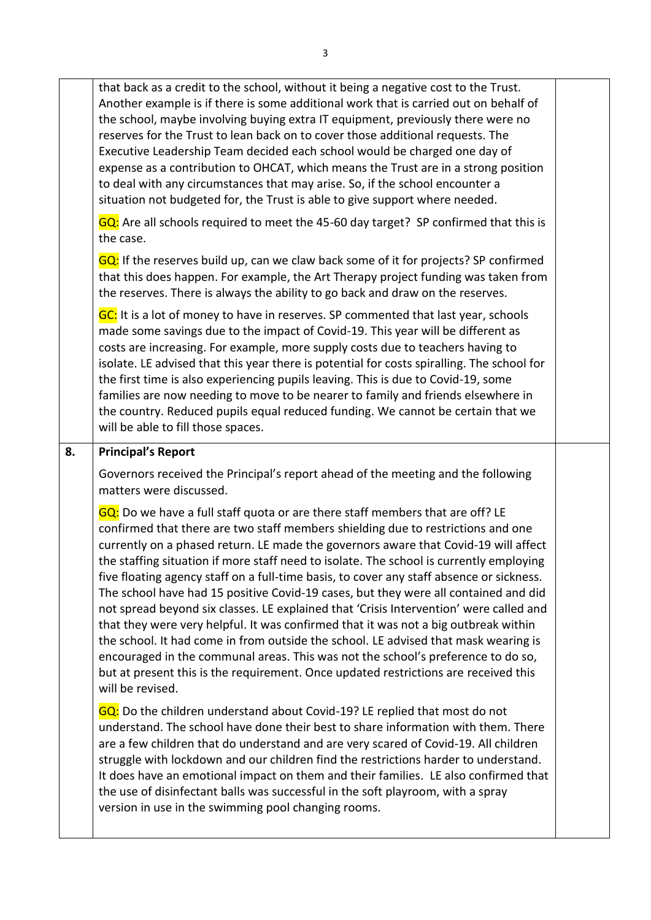that back as a credit to the school, without it being a negative cost to the Trust. Another example is if there is some additional work that is carried out on behalf of the school, maybe involving buying extra IT equipment, previously there were no reserves for the Trust to lean back on to cover those additional requests. The Executive Leadership Team decided each school would be charged one day of expense as a contribution to OHCAT, which means the Trust are in a strong position to deal with any circumstances that may arise. So, if the school encounter a situation not budgeted for, the Trust is able to give support where needed. GQ: Are all schools required to meet the 45-60 day target? SP confirmed that this is the case. GQ: If the reserves build up, can we claw back some of it for projects? SP confirmed that this does happen. For example, the Art Therapy project funding was taken from the reserves. There is always the ability to go back and draw on the reserves. GC: It is a lot of money to have in reserves. SP commented that last year, schools made some savings due to the impact of Covid-19. This year will be different as costs are increasing. For example, more supply costs due to teachers having to isolate. LE advised that this year there is potential for costs spiralling. The school for the first time is also experiencing pupils leaving. This is due to Covid-19, some families are now needing to move to be nearer to family and friends elsewhere in the country. Reduced pupils equal reduced funding. We cannot be certain that we will be able to fill those spaces. **8. Principal's Report** Governors received the Principal's report ahead of the meeting and the following matters were discussed. GQ: Do we have a full staff quota or are there staff members that are off? LE confirmed that there are two staff members shielding due to restrictions and one currently on a phased return. LE made the governors aware that Covid-19 will affect the staffing situation if more staff need to isolate. The school is currently employing five floating agency staff on a full-time basis, to cover any staff absence or sickness. The school have had 15 positive Covid-19 cases, but they were all contained and did not spread beyond six classes. LE explained that 'Crisis Intervention' were called and that they were very helpful. It was confirmed that it was not a big outbreak within the school. It had come in from outside the school. LE advised that mask wearing is encouraged in the communal areas. This was not the school's preference to do so, but at present this is the requirement. Once updated restrictions are received this will be revised. GQ: Do the children understand about Covid-19? LE replied that most do not understand. The school have done their best to share information with them. There are a few children that do understand and are very scared of Covid-19. All children struggle with lockdown and our children find the restrictions harder to understand. It does have an emotional impact on them and their families. LE also confirmed that the use of disinfectant balls was successful in the soft playroom, with a spray version in use in the swimming pool changing rooms.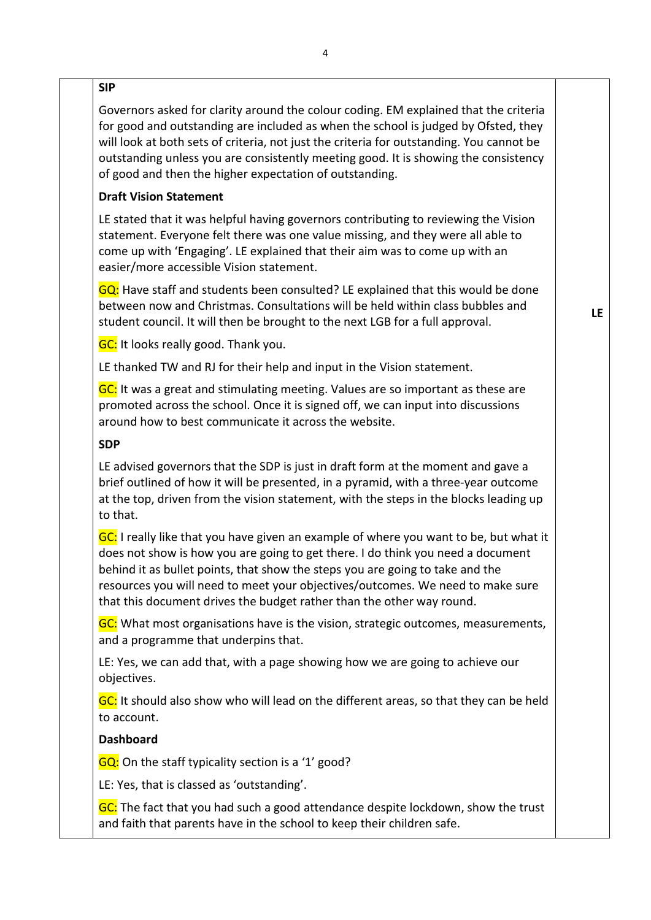#### **SIP**

Governors asked for clarity around the colour coding. EM explained that the criteria for good and outstanding are included as when the school is judged by Ofsted, they will look at both sets of criteria, not just the criteria for outstanding. You cannot be outstanding unless you are consistently meeting good. It is showing the consistency of good and then the higher expectation of outstanding.

## **Draft Vision Statement**

LE stated that it was helpful having governors contributing to reviewing the Vision statement. Everyone felt there was one value missing, and they were all able to come up with 'Engaging'. LE explained that their aim was to come up with an easier/more accessible Vision statement.

GQ: Have staff and students been consulted? LE explained that this would be done between now and Christmas. Consultations will be held within class bubbles and student council. It will then be brought to the next LGB for a full approval.

**LE**

**GC:** It looks really good. Thank you.

LE thanked TW and RJ for their help and input in the Vision statement.

GC: It was a great and stimulating meeting. Values are so important as these are promoted across the school. Once it is signed off, we can input into discussions around how to best communicate it across the website.

## **SDP**

LE advised governors that the SDP is just in draft form at the moment and gave a brief outlined of how it will be presented, in a pyramid, with a three-year outcome at the top, driven from the vision statement, with the steps in the blocks leading up to that.

GC: I really like that you have given an example of where you want to be, but what it does not show is how you are going to get there. I do think you need a document behind it as bullet points, that show the steps you are going to take and the resources you will need to meet your objectives/outcomes. We need to make sure that this document drives the budget rather than the other way round.

GC: What most organisations have is the vision, strategic outcomes, measurements, and a programme that underpins that.

LE: Yes, we can add that, with a page showing how we are going to achieve our objectives.

GC: It should also show who will lead on the different areas, so that they can be held to account.

# **Dashboard**

GQ: On the staff typicality section is a '1' good?

LE: Yes, that is classed as 'outstanding'.

GC: The fact that you had such a good attendance despite lockdown, show the trust and faith that parents have in the school to keep their children safe.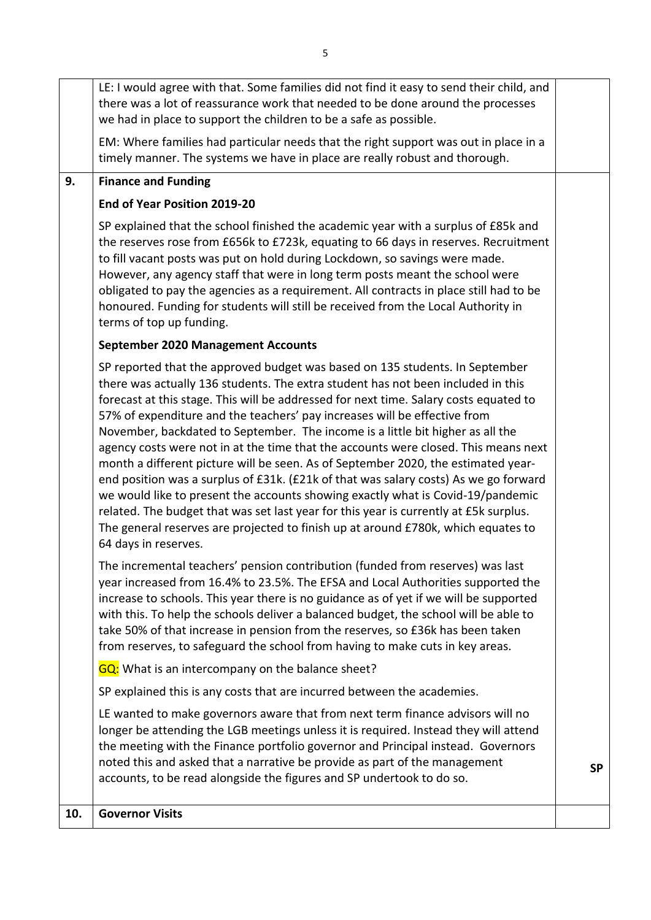|     | LE: I would agree with that. Some families did not find it easy to send their child, and<br>there was a lot of reassurance work that needed to be done around the processes<br>we had in place to support the children to be a safe as possible.                                                                                                                                                                                                                                                                                                                                                                                                                                                                                                                                                                                                                                                                                                                                      |           |
|-----|---------------------------------------------------------------------------------------------------------------------------------------------------------------------------------------------------------------------------------------------------------------------------------------------------------------------------------------------------------------------------------------------------------------------------------------------------------------------------------------------------------------------------------------------------------------------------------------------------------------------------------------------------------------------------------------------------------------------------------------------------------------------------------------------------------------------------------------------------------------------------------------------------------------------------------------------------------------------------------------|-----------|
|     | EM: Where families had particular needs that the right support was out in place in a<br>timely manner. The systems we have in place are really robust and thorough.                                                                                                                                                                                                                                                                                                                                                                                                                                                                                                                                                                                                                                                                                                                                                                                                                   |           |
| 9.  | <b>Finance and Funding</b>                                                                                                                                                                                                                                                                                                                                                                                                                                                                                                                                                                                                                                                                                                                                                                                                                                                                                                                                                            |           |
|     | End of Year Position 2019-20                                                                                                                                                                                                                                                                                                                                                                                                                                                                                                                                                                                                                                                                                                                                                                                                                                                                                                                                                          |           |
|     | SP explained that the school finished the academic year with a surplus of £85k and<br>the reserves rose from £656k to £723k, equating to 66 days in reserves. Recruitment<br>to fill vacant posts was put on hold during Lockdown, so savings were made.<br>However, any agency staff that were in long term posts meant the school were<br>obligated to pay the agencies as a requirement. All contracts in place still had to be<br>honoured. Funding for students will still be received from the Local Authority in<br>terms of top up funding.                                                                                                                                                                                                                                                                                                                                                                                                                                   |           |
|     | <b>September 2020 Management Accounts</b>                                                                                                                                                                                                                                                                                                                                                                                                                                                                                                                                                                                                                                                                                                                                                                                                                                                                                                                                             |           |
|     | SP reported that the approved budget was based on 135 students. In September<br>there was actually 136 students. The extra student has not been included in this<br>forecast at this stage. This will be addressed for next time. Salary costs equated to<br>57% of expenditure and the teachers' pay increases will be effective from<br>November, backdated to September. The income is a little bit higher as all the<br>agency costs were not in at the time that the accounts were closed. This means next<br>month a different picture will be seen. As of September 2020, the estimated year-<br>end position was a surplus of £31k. (£21k of that was salary costs) As we go forward<br>we would like to present the accounts showing exactly what is Covid-19/pandemic<br>related. The budget that was set last year for this year is currently at £5k surplus.<br>The general reserves are projected to finish up at around £780k, which equates to<br>64 days in reserves. |           |
|     | The incremental teachers' pension contribution (funded from reserves) was last<br>year increased from 16.4% to 23.5%. The EFSA and Local Authorities supported the<br>increase to schools. This year there is no guidance as of yet if we will be supported<br>with this. To help the schools deliver a balanced budget, the school will be able to<br>take 50% of that increase in pension from the reserves, so £36k has been taken<br>from reserves, to safeguard the school from having to make cuts in key areas.                                                                                                                                                                                                                                                                                                                                                                                                                                                                |           |
|     | GQ: What is an intercompany on the balance sheet?                                                                                                                                                                                                                                                                                                                                                                                                                                                                                                                                                                                                                                                                                                                                                                                                                                                                                                                                     |           |
|     | SP explained this is any costs that are incurred between the academies.                                                                                                                                                                                                                                                                                                                                                                                                                                                                                                                                                                                                                                                                                                                                                                                                                                                                                                               |           |
|     | LE wanted to make governors aware that from next term finance advisors will no<br>longer be attending the LGB meetings unless it is required. Instead they will attend<br>the meeting with the Finance portfolio governor and Principal instead. Governors<br>noted this and asked that a narrative be provide as part of the management<br>accounts, to be read alongside the figures and SP undertook to do so.                                                                                                                                                                                                                                                                                                                                                                                                                                                                                                                                                                     | <b>SP</b> |
| 10. | <b>Governor Visits</b>                                                                                                                                                                                                                                                                                                                                                                                                                                                                                                                                                                                                                                                                                                                                                                                                                                                                                                                                                                |           |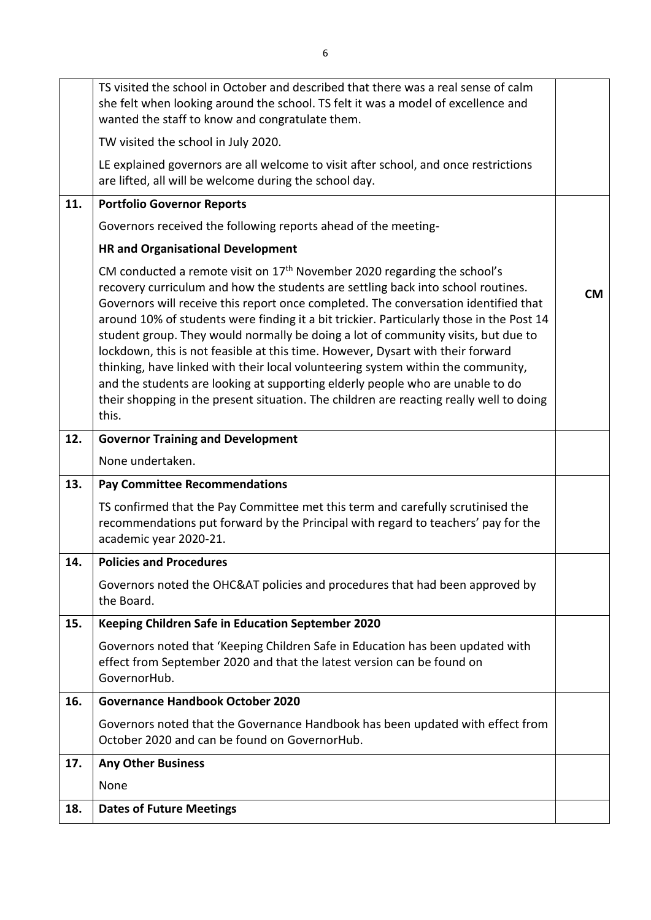|     | TS visited the school in October and described that there was a real sense of calm                                                                                                                                                                                                                                                                                                                                                                                                                                                                                                                                                                                                                                                                                                                  |           |
|-----|-----------------------------------------------------------------------------------------------------------------------------------------------------------------------------------------------------------------------------------------------------------------------------------------------------------------------------------------------------------------------------------------------------------------------------------------------------------------------------------------------------------------------------------------------------------------------------------------------------------------------------------------------------------------------------------------------------------------------------------------------------------------------------------------------------|-----------|
|     | she felt when looking around the school. TS felt it was a model of excellence and<br>wanted the staff to know and congratulate them.                                                                                                                                                                                                                                                                                                                                                                                                                                                                                                                                                                                                                                                                |           |
|     | TW visited the school in July 2020.                                                                                                                                                                                                                                                                                                                                                                                                                                                                                                                                                                                                                                                                                                                                                                 |           |
|     | LE explained governors are all welcome to visit after school, and once restrictions<br>are lifted, all will be welcome during the school day.                                                                                                                                                                                                                                                                                                                                                                                                                                                                                                                                                                                                                                                       |           |
| 11. | <b>Portfolio Governor Reports</b>                                                                                                                                                                                                                                                                                                                                                                                                                                                                                                                                                                                                                                                                                                                                                                   |           |
|     | Governors received the following reports ahead of the meeting-                                                                                                                                                                                                                                                                                                                                                                                                                                                                                                                                                                                                                                                                                                                                      |           |
|     | <b>HR and Organisational Development</b>                                                                                                                                                                                                                                                                                                                                                                                                                                                                                                                                                                                                                                                                                                                                                            |           |
|     | CM conducted a remote visit on $17th$ November 2020 regarding the school's<br>recovery curriculum and how the students are settling back into school routines.<br>Governors will receive this report once completed. The conversation identified that<br>around 10% of students were finding it a bit trickier. Particularly those in the Post 14<br>student group. They would normally be doing a lot of community visits, but due to<br>lockdown, this is not feasible at this time. However, Dysart with their forward<br>thinking, have linked with their local volunteering system within the community,<br>and the students are looking at supporting elderly people who are unable to do<br>their shopping in the present situation. The children are reacting really well to doing<br>this. | <b>CM</b> |
| 12. | <b>Governor Training and Development</b>                                                                                                                                                                                                                                                                                                                                                                                                                                                                                                                                                                                                                                                                                                                                                            |           |
|     | None undertaken.                                                                                                                                                                                                                                                                                                                                                                                                                                                                                                                                                                                                                                                                                                                                                                                    |           |
|     |                                                                                                                                                                                                                                                                                                                                                                                                                                                                                                                                                                                                                                                                                                                                                                                                     |           |
| 13. | <b>Pay Committee Recommendations</b>                                                                                                                                                                                                                                                                                                                                                                                                                                                                                                                                                                                                                                                                                                                                                                |           |
|     | TS confirmed that the Pay Committee met this term and carefully scrutinised the<br>recommendations put forward by the Principal with regard to teachers' pay for the<br>academic year 2020-21.                                                                                                                                                                                                                                                                                                                                                                                                                                                                                                                                                                                                      |           |
| 14. | <b>Policies and Procedures</b>                                                                                                                                                                                                                                                                                                                                                                                                                                                                                                                                                                                                                                                                                                                                                                      |           |
|     | Governors noted the OHC&AT policies and procedures that had been approved by<br>the Board.                                                                                                                                                                                                                                                                                                                                                                                                                                                                                                                                                                                                                                                                                                          |           |
| 15. | Keeping Children Safe in Education September 2020                                                                                                                                                                                                                                                                                                                                                                                                                                                                                                                                                                                                                                                                                                                                                   |           |
|     | Governors noted that 'Keeping Children Safe in Education has been updated with<br>effect from September 2020 and that the latest version can be found on<br>GovernorHub.                                                                                                                                                                                                                                                                                                                                                                                                                                                                                                                                                                                                                            |           |
| 16. | <b>Governance Handbook October 2020</b>                                                                                                                                                                                                                                                                                                                                                                                                                                                                                                                                                                                                                                                                                                                                                             |           |
|     | Governors noted that the Governance Handbook has been updated with effect from<br>October 2020 and can be found on GovernorHub.                                                                                                                                                                                                                                                                                                                                                                                                                                                                                                                                                                                                                                                                     |           |
| 17. | <b>Any Other Business</b>                                                                                                                                                                                                                                                                                                                                                                                                                                                                                                                                                                                                                                                                                                                                                                           |           |
|     | None                                                                                                                                                                                                                                                                                                                                                                                                                                                                                                                                                                                                                                                                                                                                                                                                |           |